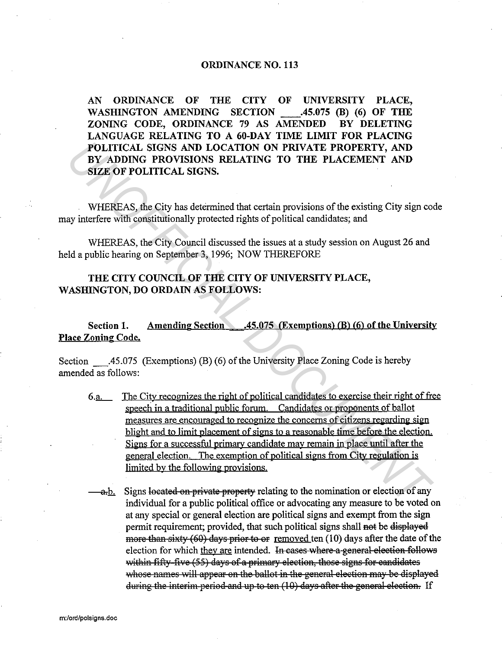## ORDINANCE NO. 113

AN ORDINANCE OF THE CITY OF UNIVERSITY PLACE, WASHINGTON AMENDING SECTION .45.075 (B) (6) OF THE ZONING CODE, ORDINANCE 79 AS AMENDED BY DELETING LANGUAGE RELATING TO A 60-DAY TIME LIMIT FOR PLACING POLITICAL SIGNS AND LOCATION ON PRIVATE PROPERTY, AND BY ADDING PROVISIONS RELATING TO THE PLACEMENT AND SIZE OF POLITICAL SIGNS.

WHEREAS, the City has determined that certain provisions of the existing City sign code may interfere with constitutionally protected rights of political candidates; and

WHEREAS, the City Council discussed the issues at a study session on August 26 and held a public hearing on September 3, 1996; NOW THEREFORE

## THE CITY COUNCIL OF THE CITY OF UNIVERSITY PLACE, WASHINGTON, DO ORDAIN AS FOLLOWS:

Section 1. Amending Section .45.075 (Exemptions) (B) (6) of the University Place Zoning Code.

Section \_.45.075 (Exemptions) (B) (6) of the University Place Zoning Code is hereby amended as follows:

- 6.a. The City recognizes the right of political candidates to exercise their right of free speech in a traditional public forum. Candidates or proponents of ballot measures are encouraged to recognize the concerns of citizens regarding sign blight and to limit placement of signs to a reasonable time before the election. Signs for a successful primary candidate may remain in place until after the general election. The exemption of political signs from City regulation is limited by the following provisions **POLITICAL SIGNS AND LOCATION ON PRIVATE PROPERTY, AND<br>
BY ADDING PROVISIONS RELATING TO THE PLACEMENT AND<br>
SIZE OF POLITICAL SIGNS.**<br>
WHEREAS, the City has determined that certain provisions of the existing City sign co<br>
	- a, b. Signs located on private property relating to the nomination or election of any individual for a public political office or advocating any measure to be voted on at any special or general election are political signs and exempt from the sign permit requirement; provided, that such political signs shall not be displayed more than sixty (60) days prior to  $\Theta$  removed ten (10) days after the date of the election for which they are intended. In cases where a general election follows within fifty-five (55) days of a primary election, those signs for candidates whose names will appear on the ballot in the general election may be displayed during the interim-period and up-to-ten  $(10)$  days after the general election. If